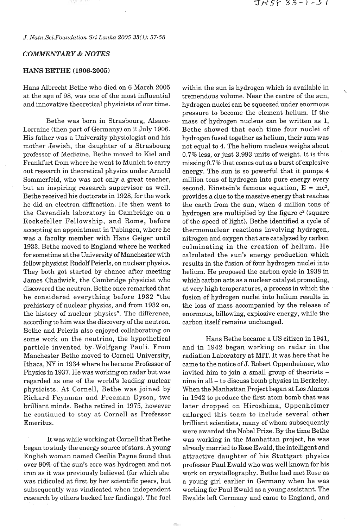*J. Natn.Sci.Foundation Sri Lanka 2005 33(1): 57-58* 

## *COMMENTARY* & *NOTES*

## **HANS BETHE (1906-2005)**

Hans Albrecht Bethe who died on 6 March 2005 at the age of 98, was one of the most influential and innovative theoretical physicists of our time.

Bethe was born in Strasbourg, Alsace-Lorraine (then part of Germany) on 2 July 1906. His father was a University physiologist and his mother Jewish, the daughter of a Strasbourg professor of Medicine. Bethe moved to Kiel and Frankfurt from where he went to Munich to carry out research in theoretical physics under Arnold Sommerfeld, who was not only a great teacher, but an inspiring research supervisor as well. Bethe received his doctorate in 1928, for the work he did on electron diffraction. He then went to the Cavendish laboratory in Cambridge on a Rockefeller Fellowship, and Rome, before accepting an appointment in Tubingen, where he was a faculty member with Hans Geiger until 1933. Bethe moved to England where he worked for sometime at the University of Manchester with fellow physicist Rudolf Peierls, on nuclear physics. They both got started by chance after meeting James Chadwick, the Cambridge physicist who discovered the neutron. Bethe once remarked that he considered everything before 1932 "the prehistory of nuclear physics, and from 1932 on, the history of nuclear physics". The difference, according to him was the discovery of the neutron. Bethe and Peierls also enjoyed collaborating on some work on the neutrino, the hypothetical particle invented by Wolfgang Pauli. From Manchester Bethe moved to Cornell University, Ithaca, NY in 1934 where he became Professor of Physics in 1937. He was working on radar but was regarded as one of the world's leading nuclear physicists. At Cornell, Bethe was joined by Richard Feynman and Freeman Dyson, two brilliant minds. Bethe retired in 1975, however he continued to stay at Cornell as Professor Emeritus.

It was while working at Cornell that Bethe began to study the energy source of stars. **A** young English woman named Cecilia Payne found that over 90% of the sun's core was hydrogen and not iron as it was previously believed (for which she was ridiculed at first by her scientific peers, but subsequently was vindicated when independent research by others backed her findings). The fuel within the sun is hydrogen which is available in tremendous volume. Near the centre of the sun, hydrogen nuclei can be squeezed under enormous pressure to become the element helium. If the mass of hydrogen nucleus can be written as 1, Bethe showed that each time four nuclei of hydrogen fused together as helium, their sum was not equal to 4. The helium nucleus weighs about 0.7% less, or just 3.993 units of weight. It is this missing 0.7% that comes out as a burst of explosive energy. The sun is so powerful that it pumps 4 million tons of hydrogen into pure energy every second. Einstein's famous equation,  $E = mc^2$ , provides a clue to the massive energy that reaches the earth from the sun, when 4 million tons of hydrogen are multiplied by the figure  $c<sup>2</sup>$  (square of the speed of light). Bethe identified a cycle of thermonuclear reactions involving hydrogen, nitrogen and oxygen that are catalyzed by carbon culminating in the creation of helium. He calculated the sun's energy production which results in the fusion of four hydrogen nuclei into helium. He proposed the carbon cycle in 1938 in which carbon acts as a nuclear catalyst promoting, at very high temperatures, a process in which the fusion of hydrogen nuclei into helium results in the loss of mass accompanied by the release of enormous, billowing, explosive energy, while the carbon itself remains unchanged.

Hans Bethe became a US citizen in 1941, and in 1942 began working on radar in the radiation Laboratory at MIT. It was here that he came to the notice of J. Robert Oppenheimer, who invited him to join a small group of theorists nine in all - to discuss bomb physics in Berkeley. When the Manhattan Project began at Los Alamos in 1942 to produce the first atom bomb that was later dropped on Hiroshima, Oppenheimer enlarged this team to include several other brilliant scientists, many of whom subsequently were awarded the Nobel Prize. By the time Bethe was working in the Manhattan project, he was already married to Rose Ewald, the intelligent and attractive daughter of his Stuttgart physics professor Paul Ewald who was well known for his work on crystallography. Bethe had met Rose as a young girl earlier in Germany when he was working for Paul Ewald as a young assistant. The Ewalds left Germany and came to England, and